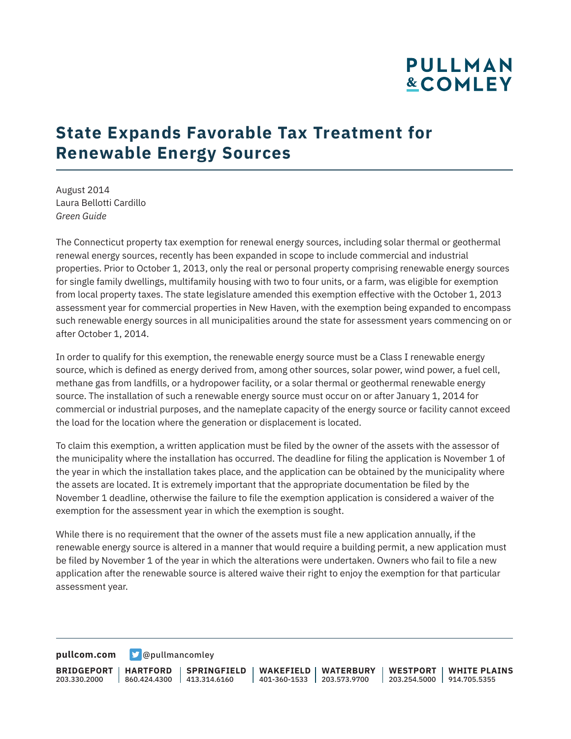# **PULLMAN &COMLEY**

## **State Expands Favorable Tax Treatment for Renewable Energy Sources**

August 2014 Laura Bellotti Cardillo *Green Guide*

The Connecticut property tax exemption for renewal energy sources, including solar thermal or geothermal renewal energy sources, recently has been expanded in scope to include commercial and industrial properties. Prior to October 1, 2013, only the real or personal property comprising renewable energy sources for single family dwellings, multifamily housing with two to four units, or a farm, was eligible for exemption from local property taxes. The state legislature amended this exemption effective with the October 1, 2013 assessment year for commercial properties in New Haven, with the exemption being expanded to encompass such renewable energy sources in all municipalities around the state for assessment years commencing on or after October 1, 2014.

In order to qualify for this exemption, the renewable energy source must be a Class I renewable energy source, which is defined as energy derived from, among other sources, solar power, wind power, a fuel cell, methane gas from landfills, or a hydropower facility, or a solar thermal or geothermal renewable energy source. The installation of such a renewable energy source must occur on or after January 1, 2014 for commercial or industrial purposes, and the nameplate capacity of the energy source or facility cannot exceed the load for the location where the generation or displacement is located.

To claim this exemption, a written application must be filed by the owner of the assets with the assessor of the municipality where the installation has occurred. The deadline for filing the application is November 1 of the year in which the installation takes place, and the application can be obtained by the municipality where the assets are located. It is extremely important that the appropriate documentation be filed by the November 1 deadline, otherwise the failure to file the exemption application is considered a waiver of the exemption for the assessment year in which the exemption is sought.

While there is no requirement that the owner of the assets must file a new application annually, if the renewable energy source is altered in a manner that would require a building permit, a new application must be filed by November 1 of the year in which the alterations were undertaken. Owners who fail to file a new application after the renewable source is altered waive their right to enjoy the exemption for that particular assessment year.

**[pullcom.com](https://www.pullcom.com) g** [@pullmancomley](https://twitter.com/PullmanComley)

**BRIDGEPORT** 203.330.2000 **HARTFORD** 860.424.4300 413.314.6160 **SPRINGFIELD WAKEFIELD WATERBURY** 401-360-1533 203.573.9700 **WESTPORT WHITE PLAINS** 203.254.5000 914.705.5355